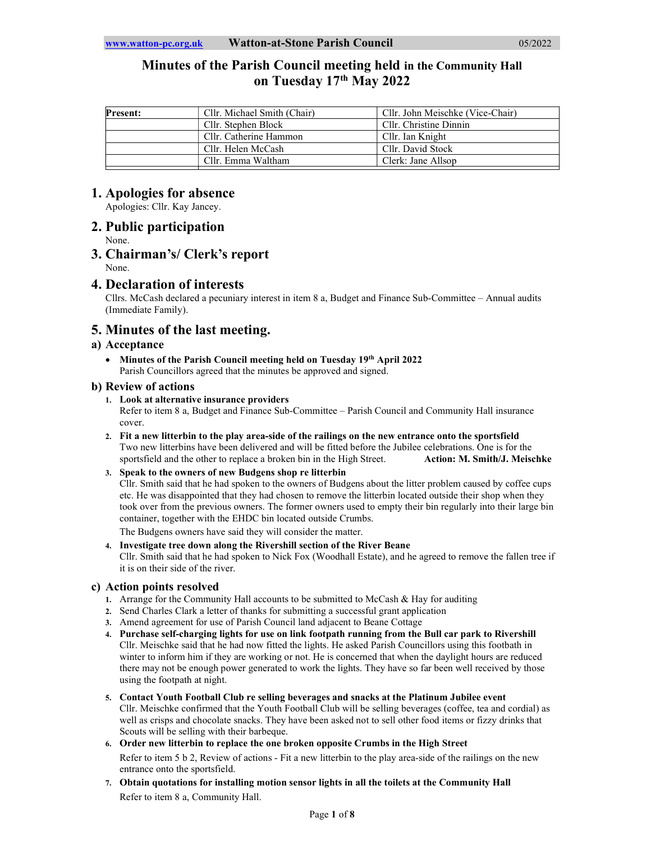# Minutes of the Parish Council meeting held in the Community Hall on Tuesday 17th May 2022

| <b>Present:</b> | Cllr. Michael Smith (Chair) | Cllr. John Meischke (Vice-Chair) |
|-----------------|-----------------------------|----------------------------------|
|                 | Cllr. Stephen Block         | Cllr. Christine Dinnin           |
|                 | Cllr. Catherine Hammon      | Cllr. Ian Knight                 |
|                 | Cllr. Helen McCash          | Cllr. David Stock                |
|                 | Cllr. Emma Waltham          | Clerk: Jane Allsop               |

# 1. Apologies for absence

Apologies: Cllr. Kay Jancey.

# 2. Public participation

None.

## 3. Chairman's/ Clerk's report None.

# 4. Declaration of interests

Cllrs. McCash declared a pecuniary interest in item 8 a, Budget and Finance Sub-Committee – Annual audits (Immediate Family).

# 5. Minutes of the last meeting.

# a) Acceptance

• Minutes of the Parish Council meeting held on Tuesday 19th April 2022 Parish Councillors agreed that the minutes be approved and signed.

# b) Review of actions

## 1. Look at alternative insurance providers

Refer to item 8 a, Budget and Finance Sub-Committee – Parish Council and Community Hall insurance cover.

- 2. Fit a new litterbin to the play area-side of the railings on the new entrance onto the sportsfield Two new litterbins have been delivered and will be fitted before the Jubilee celebrations. One is for the sportsfield and the other to replace a broken bin in the High Street. **Action: M. Smith/J. Meischke**
- 3. Speak to the owners of new Budgens shop re litterbin

Cllr. Smith said that he had spoken to the owners of Budgens about the litter problem caused by coffee cups etc. He was disappointed that they had chosen to remove the litterbin located outside their shop when they took over from the previous owners. The former owners used to empty their bin regularly into their large bin container, together with the EHDC bin located outside Crumbs.

The Budgens owners have said they will consider the matter.

## 4. Investigate tree down along the Rivershill section of the River Beane

Cllr. Smith said that he had spoken to Nick Fox (Woodhall Estate), and he agreed to remove the fallen tree if it is on their side of the river.

# c) Action points resolved

- 1. Arrange for the Community Hall accounts to be submitted to McCash & Hay for auditing
- 2. Send Charles Clark a letter of thanks for submitting a successful grant application
- 3. Amend agreement for use of Parish Council land adjacent to Beane Cottage
- 4. Purchase self-charging lights for use on link footpath running from the Bull car park to Rivershill Cllr. Meischke said that he had now fitted the lights. He asked Parish Councillors using this footbath in winter to inform him if they are working or not. He is concerned that when the daylight hours are reduced there may not be enough power generated to work the lights. They have so far been well received by those using the footpath at night.
- 5. Contact Youth Football Club re selling beverages and snacks at the Platinum Jubilee event Cllr. Meischke confirmed that the Youth Football Club will be selling beverages (coffee, tea and cordial) as well as crisps and chocolate snacks. They have been asked not to sell other food items or fizzy drinks that Scouts will be selling with their barbeque.

## 6. Order new litterbin to replace the one broken opposite Crumbs in the High Street

Refer to item 5 b 2, Review of actions - Fit a new litterbin to the play area-side of the railings on the new entrance onto the sportsfield.

7. Obtain quotations for installing motion sensor lights in all the toilets at the Community Hall Refer to item 8 a, Community Hall.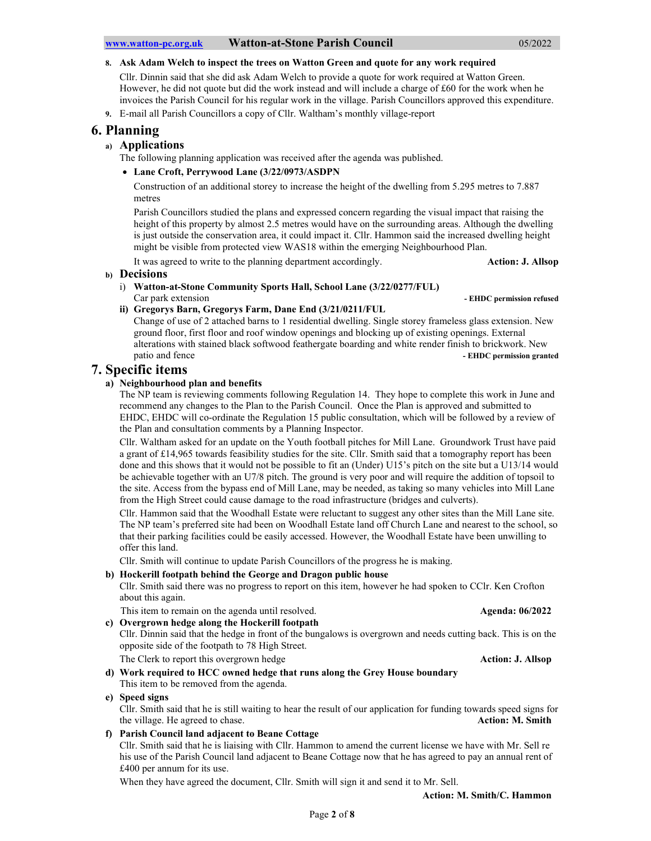8. Ask Adam Welch to inspect the trees on Watton Green and quote for any work required

Cllr. Dinnin said that she did ask Adam Welch to provide a quote for work required at Watton Green. However, he did not quote but did the work instead and will include a charge of £60 for the work when he invoices the Parish Council for his regular work in the village. Parish Councillors approved this expenditure.

9. E-mail all Parish Councillors a copy of Cllr. Waltham's monthly village-report

# 6. Planning

## a) Applications

The following planning application was received after the agenda was published.

### Lane Croft, Perrywood Lane (3/22/0973/ASDPN

Construction of an additional storey to increase the height of the dwelling from 5.295 metres to 7.887 metres

Parish Councillors studied the plans and expressed concern regarding the visual impact that raising the height of this property by almost 2.5 metres would have on the surrounding areas. Although the dwelling is just outside the conservation area, it could impact it. Cllr. Hammon said the increased dwelling height might be visible from protected view WAS18 within the emerging Neighbourhood Plan.

It was agreed to write to the planning department accordingly. Action: **J. Allsop** 

### b) Decisions

i) Watton-at-Stone Community Sports Hall, School Lane (3/22/0277/FUL) Car park extension  $\blacksquare$  EHDC permission refused

# ii) Gregorys Barn, Gregorys Farm, Dane End (3/21/0211/FUL

Change of use of 2 attached barns to 1 residential dwelling. Single storey frameless glass extension. New ground floor, first floor and roof window openings and blocking up of existing openings. External alterations with stained black softwood feathergate boarding and white render finish to brickwork. New patio and fence **- EHDC** permission granted

# 7. Specific items

## a) Neighbourhood plan and benefits

The NP team is reviewing comments following Regulation 14. They hope to complete this work in June and recommend any changes to the Plan to the Parish Council. Once the Plan is approved and submitted to EHDC, EHDC will co-ordinate the Regulation 15 public consultation, which will be followed by a review of the Plan and consultation comments by a Planning Inspector.

Cllr. Waltham asked for an update on the Youth football pitches for Mill Lane. Groundwork Trust have paid a grant of £14,965 towards feasibility studies for the site. Cllr. Smith said that a tomography report has been done and this shows that it would not be possible to fit an (Under) U15's pitch on the site but a U13/14 would be achievable together with an U7/8 pitch. The ground is very poor and will require the addition of topsoil to the site. Access from the bypass end of Mill Lane, may be needed, as taking so many vehicles into Mill Lane from the High Street could cause damage to the road infrastructure (bridges and culverts).

Cllr. Hammon said that the Woodhall Estate were reluctant to suggest any other sites than the Mill Lane site. The NP team's preferred site had been on Woodhall Estate land off Church Lane and nearest to the school, so that their parking facilities could be easily accessed. However, the Woodhall Estate have been unwilling to offer this land.

Cllr. Smith will continue to update Parish Councillors of the progress he is making.

### b) Hockerill footpath behind the George and Dragon public house

Cllr. Smith said there was no progress to report on this item, however he had spoken to CClr. Ken Crofton about this again.

This item to remain on the agenda until resolved. Agent and the series of  $\triangle$  4 Agenda: 06/2022

- c) Overgrown hedge along the Hockerill footpath
	- Cllr. Dinnin said that the hedge in front of the bungalows is overgrown and needs cutting back. This is on the opposite side of the footpath to 78 High Street.

The Clerk to report this overgrown hedge **Action: J. Allsop Action: J. Allsop** 

d) Work required to HCC owned hedge that runs along the Grey House boundary This item to be removed from the agenda.

### e) Speed signs

Cllr. Smith said that he is still waiting to hear the result of our application for funding towards speed signs for the village. He agreed to chase. Action: M. Smith

f) Parish Council land adjacent to Beane Cottage

Cllr. Smith said that he is liaising with Cllr. Hammon to amend the current license we have with Mr. Sell re his use of the Parish Council land adjacent to Beane Cottage now that he has agreed to pay an annual rent of £400 per annum for its use.

When they have agreed the document, Cllr. Smith will sign it and send it to Mr. Sell.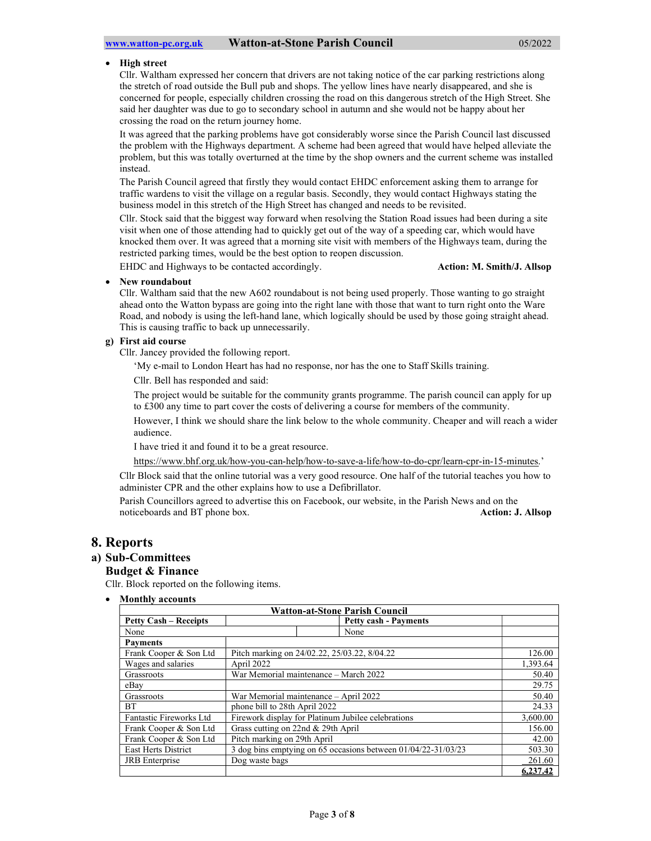#### High street

Cllr. Waltham expressed her concern that drivers are not taking notice of the car parking restrictions along the stretch of road outside the Bull pub and shops. The yellow lines have nearly disappeared, and she is concerned for people, especially children crossing the road on this dangerous stretch of the High Street. She said her daughter was due to go to secondary school in autumn and she would not be happy about her crossing the road on the return journey home.

It was agreed that the parking problems have got considerably worse since the Parish Council last discussed the problem with the Highways department. A scheme had been agreed that would have helped alleviate the problem, but this was totally overturned at the time by the shop owners and the current scheme was installed instead.

The Parish Council agreed that firstly they would contact EHDC enforcement asking them to arrange for traffic wardens to visit the village on a regular basis. Secondly, they would contact Highways stating the business model in this stretch of the High Street has changed and needs to be revisited.

Cllr. Stock said that the biggest way forward when resolving the Station Road issues had been during a site visit when one of those attending had to quickly get out of the way of a speeding car, which would have knocked them over. It was agreed that a morning site visit with members of the Highways team, during the restricted parking times, would be the best option to reopen discussion.

EHDC and Highways to be contacted accordingly. **Action: M. Smith/J. Allsop** Action: M. Smith/J. Allsop

### New roundabout

Cllr. Waltham said that the new A602 roundabout is not being used properly. Those wanting to go straight ahead onto the Watton bypass are going into the right lane with those that want to turn right onto the Ware Road, and nobody is using the left-hand lane, which logically should be used by those going straight ahead. This is causing traffic to back up unnecessarily.

#### g) First aid course

Cllr. Jancey provided the following report.

'My e-mail to London Heart has had no response, nor has the one to Staff Skills training.

Cllr. Bell has responded and said:

The project would be suitable for the community grants programme. The parish council can apply for up to £300 any time to part cover the costs of delivering a course for members of the community.

However, I think we should share the link below to the whole community. Cheaper and will reach a wider audience.

I have tried it and found it to be a great resource.

https://www.bhf.org.uk/how-you-can-help/how-to-save-a-life/how-to-do-cpr/learn-cpr-in-15-minutes.'

Cllr Block said that the online tutorial was a very good resource. One half of the tutorial teaches you how to administer CPR and the other explains how to use a Defibrillator.

Parish Councillors agreed to advertise this on Facebook, our website, in the Parish News and on the noticeboards and BT phone box. Action: J. Allsop

## 8. Reports

### a) Sub-Committees

### Budget & Finance

Cllr. Block reported on the following items.

Monthly accounts

| <b>Watton-at-Stone Parish Council</b> |                                                               |          |  |  |  |  |
|---------------------------------------|---------------------------------------------------------------|----------|--|--|--|--|
| <b>Petty Cash – Receipts</b>          | <b>Petty cash - Payments</b>                                  |          |  |  |  |  |
| None                                  | None                                                          |          |  |  |  |  |
| <b>Payments</b>                       |                                                               |          |  |  |  |  |
| Frank Cooper & Son Ltd                | Pitch marking on 24/02.22, 25/03.22, 8/04.22                  | 126.00   |  |  |  |  |
| Wages and salaries                    | April 2022                                                    |          |  |  |  |  |
| Grassroots                            | War Memorial maintenance - March 2022                         | 50.40    |  |  |  |  |
| eBay                                  |                                                               | 29.75    |  |  |  |  |
| Grassroots                            | War Memorial maintenance – April 2022                         | 50.40    |  |  |  |  |
| <b>BT</b>                             | phone bill to 28th April 2022                                 | 24.33    |  |  |  |  |
| Fantastic Fireworks Ltd               | Firework display for Platinum Jubilee celebrations            | 3,600.00 |  |  |  |  |
| Frank Cooper & Son Ltd                | Grass cutting on 22nd & 29th April                            | 156.00   |  |  |  |  |
| Frank Cooper & Son Ltd                | Pitch marking on 29th April                                   | 42.00    |  |  |  |  |
| East Herts District                   | 3 dog bins emptying on 65 occasions between 01/04/22-31/03/23 | 503.30   |  |  |  |  |
| <b>JRB</b> Enterprise                 | Dog waste bags                                                | 261.60   |  |  |  |  |
|                                       |                                                               | 6,237.42 |  |  |  |  |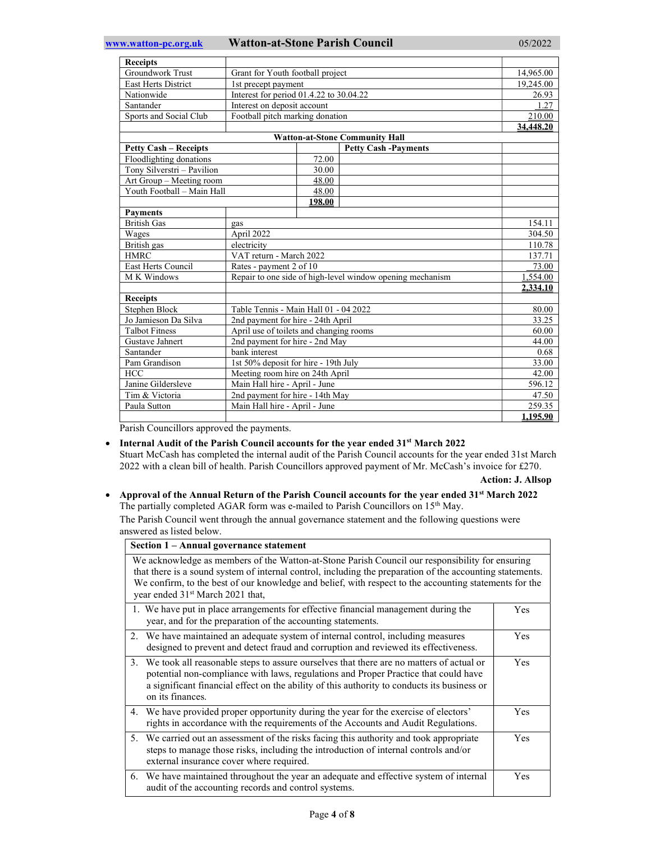| <b>Receipts</b>                                             |                                                           |        |                                       |           |
|-------------------------------------------------------------|-----------------------------------------------------------|--------|---------------------------------------|-----------|
| <b>Groundwork Trust</b><br>Grant for Youth football project |                                                           |        | 14,965.00                             |           |
| <b>East Herts District</b>                                  | 1st precept payment                                       |        |                                       | 19,245.00 |
| Nationwide                                                  | Interest for period 01.4.22 to 30.04.22                   |        |                                       | 26.93     |
| Santander                                                   | Interest on deposit account                               |        |                                       | 1.27      |
| Sports and Social Club                                      | Football pitch marking donation                           |        |                                       | 210.00    |
|                                                             |                                                           |        | 34,448.20                             |           |
|                                                             |                                                           |        | <b>Watton-at-Stone Community Hall</b> |           |
| <b>Petty Cash - Receipts</b>                                |                                                           |        | <b>Petty Cash -Payments</b>           |           |
| Floodlighting donations                                     |                                                           | 72.00  |                                       |           |
| Tony Silverstri - Pavilion                                  |                                                           | 30.00  |                                       |           |
| Art Group - Meeting room                                    |                                                           | 48.00  |                                       |           |
| Youth Football - Main Hall                                  |                                                           | 48.00  |                                       |           |
|                                                             |                                                           | 198.00 |                                       |           |
| <b>Payments</b>                                             |                                                           |        |                                       |           |
| <b>British Gas</b>                                          | gas                                                       |        |                                       | 154.11    |
| Wages                                                       | April 2022                                                |        | 304.50                                |           |
| British gas                                                 | electricity                                               |        |                                       | 110.78    |
| <b>HMRC</b>                                                 | VAT return - March 2022                                   |        |                                       | 137.71    |
| <b>East Herts Council</b>                                   | Rates - payment 2 of 10                                   |        |                                       | 73.00     |
| M K Windows                                                 | Repair to one side of high-level window opening mechanism |        |                                       | 1,554.00  |
|                                                             |                                                           |        |                                       | 2,334.10  |
| <b>Receipts</b>                                             |                                                           |        |                                       |           |
| Stephen Block                                               | Table Tennis - Main Hall 01 - 04 2022                     |        | 80.00                                 |           |
| Jo Jamieson Da Silva                                        | 2nd payment for hire - 24th April                         |        |                                       | 33.25     |
| <b>Talbot Fitness</b>                                       | April use of toilets and changing rooms                   |        | 60.00                                 |           |
| Gustave Jahnert                                             | 2nd payment for hire - 2nd May                            |        | 44.00                                 |           |
| Santander                                                   | bank interest                                             |        | 0.68                                  |           |
| Pam Grandison                                               | 1st 50% deposit for hire - 19th July                      |        | 33.00                                 |           |
| <b>HCC</b>                                                  | Meeting room hire on 24th April                           |        | 42.00                                 |           |
| Janine Gildersleve                                          | Main Hall hire - April - June                             |        | 596.12                                |           |
| Tim & Victoria                                              | 2nd payment for hire - 14th May                           |        | 47.50                                 |           |
| Paula Sutton                                                | Main Hall hire - April - June                             |        |                                       | 259.35    |
|                                                             |                                                           |        |                                       | 1.195.90  |

Parish Councillors approved the payments.

#### • Internal Audit of the Parish Council accounts for the year ended 31<sup>st</sup> March 2022

Stuart McCash has completed the internal audit of the Parish Council accounts for the year ended 31st March 2022 with a clean bill of health. Parish Councillors approved payment of Mr. McCash's invoice for £270.

#### Action: J. Allsop

### • Approval of the Annual Return of the Parish Council accounts for the year ended 31<sup>st</sup> March 2022 The partially completed AGAR form was e-mailed to Parish Councillors on 15<sup>th</sup> May.

The Parish Council went through the annual governance statement and the following questions were answered as listed below.

| Section 1 – Annual governance statement                                                                                                                                                                                                                                                                                                                                |            |  |  |
|------------------------------------------------------------------------------------------------------------------------------------------------------------------------------------------------------------------------------------------------------------------------------------------------------------------------------------------------------------------------|------------|--|--|
| We acknowledge as members of the Watton-at-Stone Parish Council our responsibility for ensuring<br>that there is a sound system of internal control, including the preparation of the accounting statements.<br>We confirm, to the best of our knowledge and belief, with respect to the accounting statements for the<br>year ended 31 <sup>st</sup> March 2021 that, |            |  |  |
| 1. We have put in place arrangements for effective financial management during the<br>year, and for the preparation of the accounting statements.                                                                                                                                                                                                                      | <b>Yes</b> |  |  |
| 2. We have maintained an adequate system of internal control, including measures<br>designed to prevent and detect fraud and corruption and reviewed its effectiveness.                                                                                                                                                                                                | <b>Yes</b> |  |  |
| 3. We took all reasonable steps to assure ourselves that there are no matters of actual or<br>potential non-compliance with laws, regulations and Proper Practice that could have<br>a significant financial effect on the ability of this authority to conducts its business or<br>on its finances.                                                                   | <b>Yes</b> |  |  |
| 4. We have provided proper opportunity during the year for the exercise of electors'<br>rights in accordance with the requirements of the Accounts and Audit Regulations.                                                                                                                                                                                              | Yes        |  |  |
| 5. We carried out an assessment of the risks facing this authority and took appropriate<br>steps to manage those risks, including the introduction of internal controls and/or<br>external insurance cover where required.                                                                                                                                             | <b>Yes</b> |  |  |
| 6. We have maintained throughout the year an adequate and effective system of internal<br>audit of the accounting records and control systems.                                                                                                                                                                                                                         | <b>Yes</b> |  |  |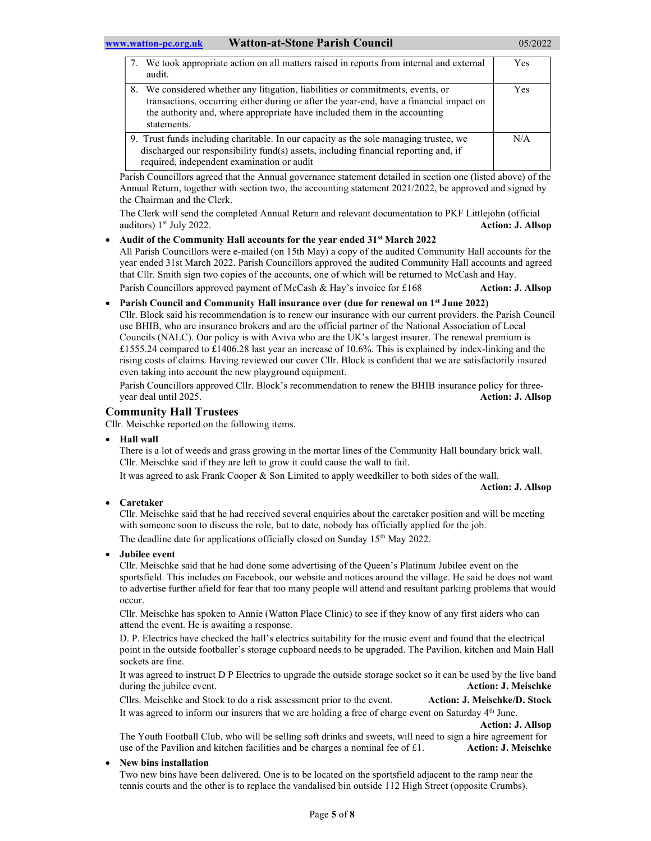| 7. We took appropriate action on all matters raised in reports from internal and external<br>audit.                                                                                                                                                                    | <b>Yes</b> |
|------------------------------------------------------------------------------------------------------------------------------------------------------------------------------------------------------------------------------------------------------------------------|------------|
| 8. We considered whether any litigation, liabilities or commitments, events, or<br>transactions, occurring either during or after the year-end, have a financial impact on<br>the authority and, where appropriate have included them in the accounting<br>statements. | <b>Yes</b> |
| 9. Trust funds including charitable. In our capacity as the sole managing trustee, we<br>discharged our responsibility fund(s) assets, including financial reporting and, if<br>required, independent examination or audit                                             | N/A        |

Parish Councillors agreed that the Annual governance statement detailed in section one (listed above) of the Annual Return, together with section two, the accounting statement 2021/2022, be approved and signed by the Chairman and the Clerk.

The Clerk will send the completed Annual Return and relevant documentation to PKF Littlejohn (official auditors) 1<sup>st</sup> July 2022. **Action: J. Allsop Action: J. Allsop** 

- Audit of the Community Hall accounts for the year ended 31<sup>st</sup> March 2022 All Parish Councillors were e-mailed (on 15th May) a copy of the audited Community Hall accounts for the year ended 31st March 2022. Parish Councillors approved the audited Community Hall accounts and agreed that Cllr. Smith sign two copies of the accounts, one of which will be returned to McCash and Hay. Parish Councillors approved payment of McCash & Hay's invoice for £168 Action: J. Allsop
- Parish Council and Community Hall insurance over (due for renewal on 1<sup>st</sup> June 2022) Cllr. Block said his recommendation is to renew our insurance with our current providers. the Parish Council use BHIB, who are insurance brokers and are the official partner of the National Association of Local Councils (NALC). Our policy is with Aviva who are the UK's largest insurer. The renewal premium is £1555.24 compared to £1406.28 last year an increase of 10.6%. This is explained by index-linking and the rising costs of claims. Having reviewed our cover Cllr. Block is confident that we are satisfactorily insured even taking into account the new playground equipment.

Parish Councillors approved Cllr. Block's recommendation to renew the BHIB insurance policy for threeyear deal until 2025. Action: J. Allsop

# Community Hall Trustees

Cllr. Meischke reported on the following items.

Hall wall

There is a lot of weeds and grass growing in the mortar lines of the Community Hall boundary brick wall. Cllr. Meischke said if they are left to grow it could cause the wall to fail.

It was agreed to ask Frank Cooper & Son Limited to apply weedkiller to both sides of the wall.

Action: J. Allsop

Caretaker

Cllr. Meischke said that he had received several enquiries about the caretaker position and will be meeting with someone soon to discuss the role, but to date, nobody has officially applied for the job. The deadline date for applications officially closed on Sunday 15<sup>th</sup> May 2022.

Jubilee event

Cllr. Meischke said that he had done some advertising of the Queen's Platinum Jubilee event on the sportsfield. This includes on Facebook, our website and notices around the village. He said he does not want to advertise further afield for fear that too many people will attend and resultant parking problems that would occur.

Cllr. Meischke has spoken to Annie (Watton Place Clinic) to see if they know of any first aiders who can attend the event. He is awaiting a response.

D. P. Electrics have checked the hall's electrics suitability for the music event and found that the electrical point in the outside footballer's storage cupboard needs to be upgraded. The Pavilion, kitchen and Main Hall sockets are fine.

It was agreed to instruct D P Electrics to upgrade the outside storage socket so it can be used by the live band during the jubilee event. **Action: J. Meischke Action: J. Meischke** 

Cllrs. Meischke and Stock to do a risk assessment prior to the event. Action: J. Meischke/D. Stock It was agreed to inform our insurers that we are holding a free of charge event on Saturday 4<sup>th</sup> June.

Action: J. Allsop

The Youth Football Club, who will be selling soft drinks and sweets, will need to sign a hire agreement for use of the Pavilion and kitchen facilities and be charges a nominal fee of £1. Action: J. Meischke

## New bins installation

Two new bins have been delivered. One is to be located on the sportsfield adjacent to the ramp near the tennis courts and the other is to replace the vandalised bin outside 112 High Street (opposite Crumbs).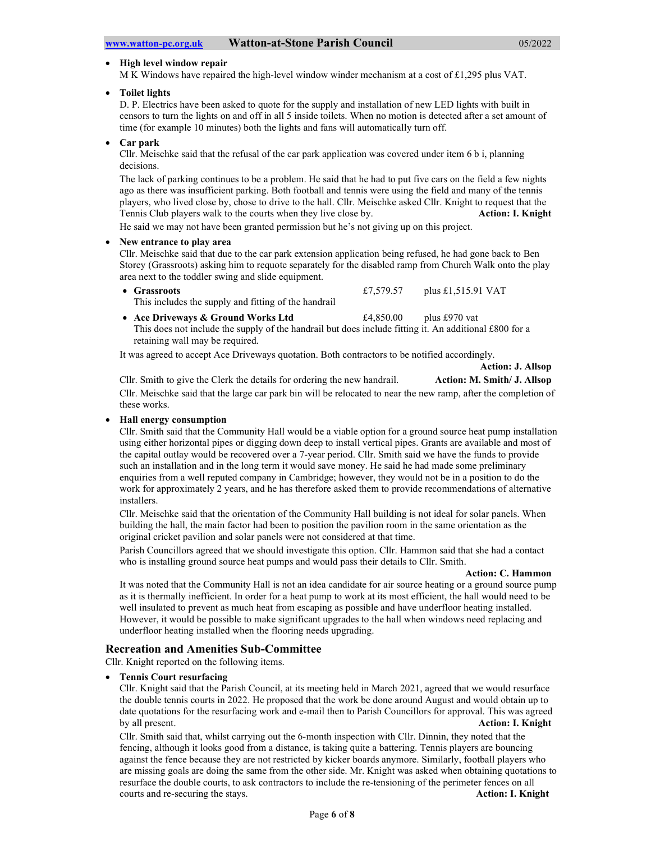#### • High level window repair

M K Windows have repaired the high-level window winder mechanism at a cost of £1,295 plus VAT.

Toilet lights

D. P. Electrics have been asked to quote for the supply and installation of new LED lights with built in censors to turn the lights on and off in all 5 inside toilets. When no motion is detected after a set amount of time (for example 10 minutes) both the lights and fans will automatically turn off.

Car park

Cllr. Meischke said that the refusal of the car park application was covered under item 6 b i, planning decisions.

The lack of parking continues to be a problem. He said that he had to put five cars on the field a few nights ago as there was insufficient parking. Both football and tennis were using the field and many of the tennis players, who lived close by, chose to drive to the hall. Cllr. Meischke asked Cllr. Knight to request that the Tennis Club players walk to the courts when they live close by. Action: I. Knight

He said we may not have been granted permission but he's not giving up on this project.

### New entrance to play area

Cllr. Meischke said that due to the car park extension application being refused, he had gone back to Ben Storey (Grassroots) asking him to requote separately for the disabled ramp from Church Walk onto the play area next to the toddler swing and slide equipment.

• Grassroots  $\text{E}7,579.57$  plus £1,515.91 VAT This includes the supply and fitting of the handrail

• Ace Driveways & Ground Works Ltd  $£4,850.00$  plus £970 vat This does not include the supply of the handrail but does include fitting it. An additional £800 for a retaining wall may be required.

It was agreed to accept Ace Driveways quotation. Both contractors to be notified accordingly.

Action: J. Allsop

Cllr. Smith to give the Clerk the details for ordering the new handrail. **Action: M. Smith/ J. Allsop** Cllr. Meischke said that the large car park bin will be relocated to near the new ramp, after the completion of these works.

### Hall energy consumption

Cllr. Smith said that the Community Hall would be a viable option for a ground source heat pump installation using either horizontal pipes or digging down deep to install vertical pipes. Grants are available and most of the capital outlay would be recovered over a 7-year period. Cllr. Smith said we have the funds to provide such an installation and in the long term it would save money. He said he had made some preliminary enquiries from a well reputed company in Cambridge; however, they would not be in a position to do the work for approximately 2 years, and he has therefore asked them to provide recommendations of alternative installers.

Cllr. Meischke said that the orientation of the Community Hall building is not ideal for solar panels. When building the hall, the main factor had been to position the pavilion room in the same orientation as the original cricket pavilion and solar panels were not considered at that time.

Parish Councillors agreed that we should investigate this option. Cllr. Hammon said that she had a contact who is installing ground source heat pumps and would pass their details to Cllr. Smith.

#### Action: C. Hammon

It was noted that the Community Hall is not an idea candidate for air source heating or a ground source pump as it is thermally inefficient. In order for a heat pump to work at its most efficient, the hall would need to be well insulated to prevent as much heat from escaping as possible and have underfloor heating installed. However, it would be possible to make significant upgrades to the hall when windows need replacing and underfloor heating installed when the flooring needs upgrading.

### Recreation and Amenities Sub-Committee

Cllr. Knight reported on the following items.

### Tennis Court resurfacing

Cllr. Knight said that the Parish Council, at its meeting held in March 2021, agreed that we would resurface the double tennis courts in 2022. He proposed that the work be done around August and would obtain up to date quotations for the resurfacing work and e-mail then to Parish Councillors for approval. This was agreed by all present. Action: I. Knight

Cllr. Smith said that, whilst carrying out the 6-month inspection with Cllr. Dinnin, they noted that the fencing, although it looks good from a distance, is taking quite a battering. Tennis players are bouncing against the fence because they are not restricted by kicker boards anymore. Similarly, football players who are missing goals are doing the same from the other side. Mr. Knight was asked when obtaining quotations to resurface the double courts, to ask contractors to include the re-tensioning of the perimeter fences on all courts and re-securing the stays. Action: I. Knight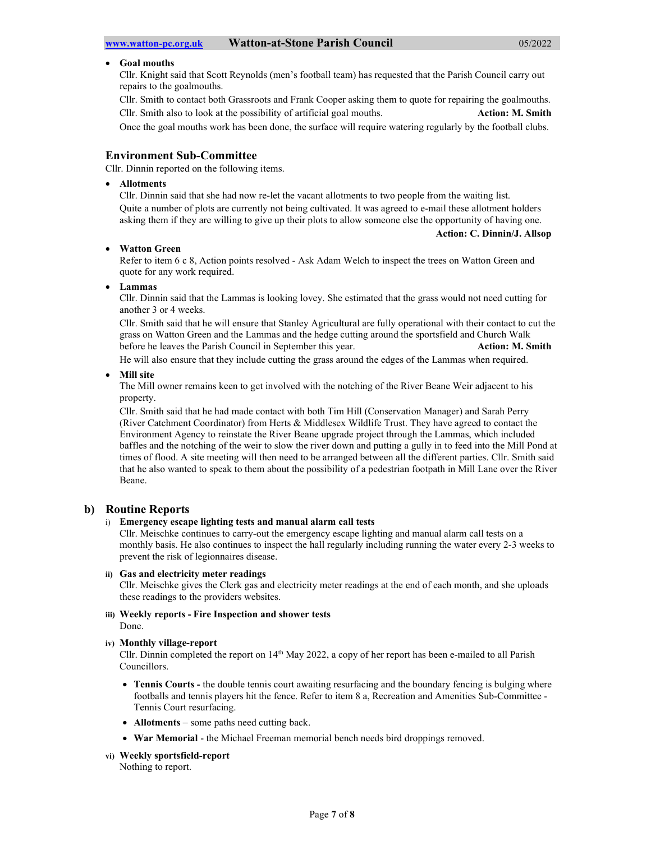#### Goal mouths

Cllr. Knight said that Scott Reynolds (men's football team) has requested that the Parish Council carry out repairs to the goalmouths.

Cllr. Smith to contact both Grassroots and Frank Cooper asking them to quote for repairing the goalmouths. Cllr. Smith also to look at the possibility of artificial goal mouths. Action: M. Smith Action: M. Smith

Once the goal mouths work has been done, the surface will require watering regularly by the football clubs.

#### Environment Sub-Committee

Cllr. Dinnin reported on the following items.

#### Allotments

Cllr. Dinnin said that she had now re-let the vacant allotments to two people from the waiting list. Quite a number of plots are currently not being cultivated. It was agreed to e-mail these allotment holders asking them if they are willing to give up their plots to allow someone else the opportunity of having one.

#### Action: C. Dinnin/J. Allsop

#### Watton Green

Refer to item 6 c 8, Action points resolved - Ask Adam Welch to inspect the trees on Watton Green and quote for any work required.

#### Lammas

Cllr. Dinnin said that the Lammas is looking lovey. She estimated that the grass would not need cutting for another 3 or 4 weeks.

Cllr. Smith said that he will ensure that Stanley Agricultural are fully operational with their contact to cut the grass on Watton Green and the Lammas and the hedge cutting around the sportsfield and Church Walk before he leaves the Parish Council in September this year. Action: M. Smith

He will also ensure that they include cutting the grass around the edges of the Lammas when required.

#### Mill site

The Mill owner remains keen to get involved with the notching of the River Beane Weir adjacent to his property.

Cllr. Smith said that he had made contact with both Tim Hill (Conservation Manager) and Sarah Perry (River Catchment Coordinator) from Herts & Middlesex Wildlife Trust. They have agreed to contact the Environment Agency to reinstate the River Beane upgrade project through the Lammas, which included baffles and the notching of the weir to slow the river down and putting a gully in to feed into the Mill Pond at times of flood. A site meeting will then need to be arranged between all the different parties. Cllr. Smith said that he also wanted to speak to them about the possibility of a pedestrian footpath in Mill Lane over the River Beane.

#### b) Routine Reports

#### i) Emergency escape lighting tests and manual alarm call tests

Cllr. Meischke continues to carry-out the emergency escape lighting and manual alarm call tests on a monthly basis. He also continues to inspect the hall regularly including running the water every 2-3 weeks to prevent the risk of legionnaires disease.

#### ii) Gas and electricity meter readings

Cllr. Meischke gives the Clerk gas and electricity meter readings at the end of each month, and she uploads these readings to the providers websites.

#### iii) Weekly reports - Fire Inspection and shower tests Done.

#### iv) Monthly village-report

Cllr. Dinnin completed the report on 14th May 2022, a copy of her report has been e-mailed to all Parish Councillors.

- Tennis Courts the double tennis court awaiting resurfacing and the boundary fencing is bulging where footballs and tennis players hit the fence. Refer to item 8 a, Recreation and Amenities Sub-Committee - Tennis Court resurfacing.
- Allotments some paths need cutting back.
- War Memorial the Michael Freeman memorial bench needs bird droppings removed.

#### vi) Weekly sportsfield-report

Nothing to report.